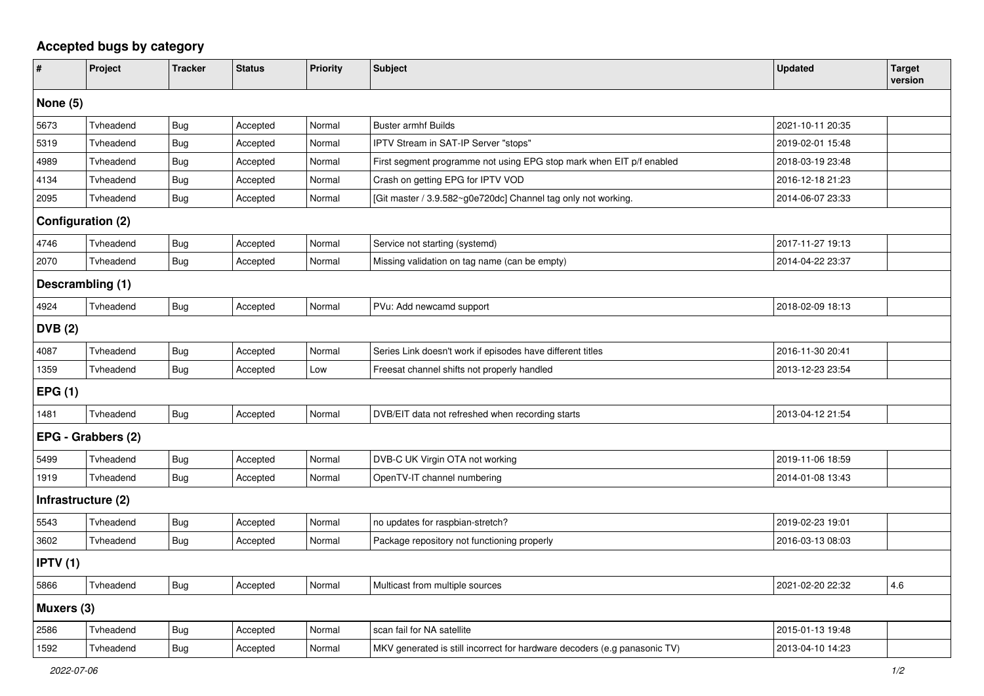## **Accepted bugs by category**

| $\vert$ #                 | Project   | <b>Tracker</b> | <b>Status</b> | <b>Priority</b> | Subject                                                                   | <b>Updated</b>   | <b>Target</b><br>version |  |  |
|---------------------------|-----------|----------------|---------------|-----------------|---------------------------------------------------------------------------|------------------|--------------------------|--|--|
| None $(5)$                |           |                |               |                 |                                                                           |                  |                          |  |  |
| 5673                      | Tvheadend | Bug            | Accepted      | Normal          | <b>Buster armhf Builds</b>                                                | 2021-10-11 20:35 |                          |  |  |
| 5319                      | Tvheadend | <b>Bug</b>     | Accepted      | Normal          | IPTV Stream in SAT-IP Server "stops"                                      | 2019-02-01 15:48 |                          |  |  |
| 4989                      | Tvheadend | <b>Bug</b>     | Accepted      | Normal          | First segment programme not using EPG stop mark when EIT p/f enabled      | 2018-03-19 23:48 |                          |  |  |
| 4134                      | Tvheadend | Bug            | Accepted      | Normal          | Crash on getting EPG for IPTV VOD                                         | 2016-12-18 21:23 |                          |  |  |
| 2095                      | Tvheadend | Bug            | Accepted      | Normal          | Git master / 3.9.582~g0e720dc] Channel tag only not working.              | 2014-06-07 23:33 |                          |  |  |
| Configuration (2)         |           |                |               |                 |                                                                           |                  |                          |  |  |
| 4746                      | Tvheadend | Bug            | Accepted      | Normal          | Service not starting (systemd)                                            | 2017-11-27 19:13 |                          |  |  |
| 2070                      | Tvheadend | <b>Bug</b>     | Accepted      | Normal          | Missing validation on tag name (can be empty)                             | 2014-04-22 23:37 |                          |  |  |
| Descrambling (1)          |           |                |               |                 |                                                                           |                  |                          |  |  |
| 4924                      | Tvheadend | Bug            | Accepted      | Normal          | PVu: Add newcamd support                                                  | 2018-02-09 18:13 |                          |  |  |
| DVB (2)                   |           |                |               |                 |                                                                           |                  |                          |  |  |
| 4087                      | Tvheadend | Bug            | Accepted      | Normal          | Series Link doesn't work if episodes have different titles                | 2016-11-30 20:41 |                          |  |  |
| 1359                      | Tvheadend | <b>Bug</b>     | Accepted      | Low             | Freesat channel shifts not properly handled                               | 2013-12-23 23:54 |                          |  |  |
| EPG(1)                    |           |                |               |                 |                                                                           |                  |                          |  |  |
| 1481                      | Tvheadend | <b>Bug</b>     | Accepted      | Normal          | DVB/EIT data not refreshed when recording starts                          | 2013-04-12 21:54 |                          |  |  |
| <b>EPG - Grabbers (2)</b> |           |                |               |                 |                                                                           |                  |                          |  |  |
| 5499                      | Tvheadend | Bug            | Accepted      | Normal          | DVB-C UK Virgin OTA not working                                           | 2019-11-06 18:59 |                          |  |  |
| 1919                      | Tvheadend | Bug            | Accepted      | Normal          | OpenTV-IT channel numbering                                               | 2014-01-08 13:43 |                          |  |  |
| Infrastructure (2)        |           |                |               |                 |                                                                           |                  |                          |  |  |
| 5543                      | Tvheadend | <b>Bug</b>     | Accepted      | Normal          | no updates for raspbian-stretch?                                          | 2019-02-23 19:01 |                          |  |  |
| 3602                      | Tvheadend | <b>Bug</b>     | Accepted      | Normal          | Package repository not functioning properly                               | 2016-03-13 08:03 |                          |  |  |
| <b>IPTV</b> (1)           |           |                |               |                 |                                                                           |                  |                          |  |  |
| 5866                      | Tvheadend | Bug            | Accepted      | Normal          | Multicast from multiple sources                                           | 2021-02-20 22:32 | 4.6                      |  |  |
| Muxers (3)                |           |                |               |                 |                                                                           |                  |                          |  |  |
| 2586                      | Tvheadend | Bug            | Accepted      | Normal          | scan fail for NA satellite                                                | 2015-01-13 19:48 |                          |  |  |
| 1592                      | Tvheadend | Bug            | Accepted      | Normal          | MKV generated is still incorrect for hardware decoders (e.g panasonic TV) | 2013-04-10 14:23 |                          |  |  |